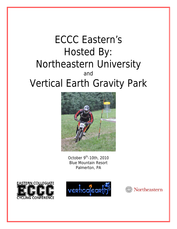# ECCC Eastern's Hosted By: Northeastern University and Vertical Earth Gravity Park



October  $9<sup>th</sup>$ -10th, 2010 Blue Mountain Resort Palmerton, PA





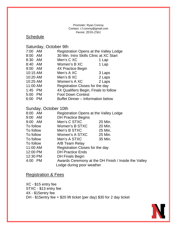#### Promoter: Ryan Conroy Contact: r.f.conroy@gmail.com Permit: 2010-2561

# **Schedule**

Saturday, October 9th

| 7:00     | AM.       | Registration Opens at the Valley Lodge   |        |
|----------|-----------|------------------------------------------|--------|
| 8:00     | AM        | 30 Min. Intro Skills Clinic at XC Start  |        |
| 8:30 AM  |           | Men's C XC                               | 1 Lap  |
| 8:40 AM  |           | Women's B XC                             | 1 Lap  |
| 9:00 AM  |           | 4X Practice Begin                        |        |
| 10:15 AM |           | Men's A XC                               | 3 Laps |
| 10:20 AM |           | Men's B XC                               | 2 Laps |
| 10:25 AM |           | Women's A XC                             | 2 Laps |
| 11:00 AM |           | Registration Closes for the day          |        |
| 1:45 PM  |           | 4X Qualifiers Begin, Finals to follow    |        |
| 5:00 PM  |           | <b>Foot Down Contest</b>                 |        |
| 6:00     | <b>PM</b> | <b>Buffet Dinner - Information below</b> |        |

## Sunday, October 10th

| 8:00 AM                   | Registration Opens at the Valley Lodge               |         |  |  |
|---------------------------|------------------------------------------------------|---------|--|--|
| $9:00$ AM                 | <b>DH Practice Begins</b>                            |         |  |  |
| $9:00$ AM                 | Men's C STXC                                         | 20 Min. |  |  |
| To follow                 | Women's B STXC                                       | 20 Min. |  |  |
| To follow                 | Men's B STXC                                         | 25 Min. |  |  |
| To follow                 | Women's A STXC                                       | 25 Min. |  |  |
| To follow                 | Men's A STXC                                         | 35 Min. |  |  |
| To follow                 | A/B Team Relay                                       |         |  |  |
| 11:00 AM                  | Registration Closes for the day                      |         |  |  |
| 12:00 PM                  | <b>DH Practice Ends</b>                              |         |  |  |
| 12:30 PM                  | <b>DH Finals Begin</b>                               |         |  |  |
| 4:00 PM                   | Awards Ceremony at the DH Finish / Inside the Valley |         |  |  |
| Lodge during poor weather |                                                      |         |  |  |

## Registration & Fees

XC - \$15 entry fee STXC - \$13 entry fee 4X - \$15entry fee DH - \$15entry fee + \$20 lift ticket (per day) \$30 for 2 day ticket

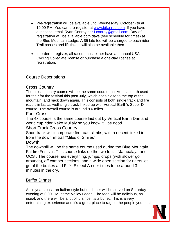- Pre-registration will be available until Wednesday, October 7th at 10:00 PM. You can pre-register at [www.bike-reg.com.](http://www.bike-reg.com/) If you have questions, email Ryan Conroy at [r.f.conroy@gmail.com](mailto:r.f.conroy@gmail.com). Day-of registration will be available both days (see schedule for times) at the Blue Mountain Lodge. A \$5 late fee will be charged to each rider. Trail passes and lift tickets will also be available then.
- In order to register, all racers must either have an annual USA Cycling Collegiate license or purchase a one-day license at registration.

# Course Descriptions

## Cross Country

The cross country course will be the same course that Vertical earth used for their fat tire festival this past July, which goes close to the top of the mountain, and back down again. This consists of both single track and fire road climbs, as well single track linked up with Vertical Earth's Super D course. The overall course is around 8.6 miles.

#### Four Cross

The 4x course is the same course laid out by Vertical Earth Dan and world cup rider Neko Mullaly so you know it'll be good

## Short Track Cross Country

Short track will incorporate fire road climbs, with a decent linked in from the downhill trail "Miles of Smiles"

## Downhill

The downhill will be the same course used during the Blue Mountain Fat tire Festival. This course links up the two trails, "Jambalaya and OCS". The course has everything; jumps, drops (with slower go arounds), off camber sections, and a wide open section for riders let go of the brakes and FLY! Expect A rider times to be around 3 minutes in the dry.

## Buffet Dinner

As in years past, an Italian-style buffet dinner will be served on Saturday evening at 6:00 PM, at the Valley Lodge. The food will be delicious, as usual, and there will be a lot of it, since it's a buffet. This is a very entertaining experience and it's a great place to rag on the people you beat

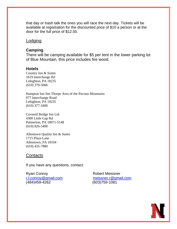that day or trash talk the ones you will race the next day. Tickets will be available at registration for the discounted price of \$10 a person or at the door for the full price of \$12.50.

#### Lodging

#### **Camping**

There will be camping available for \$5 per tent in the lower parking lot of Blue Mountain, this price includes fire wood.

#### **Hotels**

Country Inn & Suites 1619 Interchange Rd Lehighton, PA 18235 (610) 379-5066

Hampton Inn Jim Thorpe Area of the Pocono Mountains 877 Interchange Road Lehighton, PA 18235 (610) 377-3400

Covered Bridge Inn Ltd 4300 Little Gap Rd Palmerton, PA 18071-5148 (610) 826-5400

Allentown Quality Inn & Suites 1715 Plaza Lane Allentown, PA 18104 (610) 435-7880

#### **Contacts**

If you have any questions, contact:

Ryan Conroy **Robert Meissner** (484)459-4262 (603)759-1081

[r.f.conroy@gmail.com](mailto:r.f.conroy@gmail.com) [meissner.r@gmail.com](mailto:meissner.r@gmail.com)